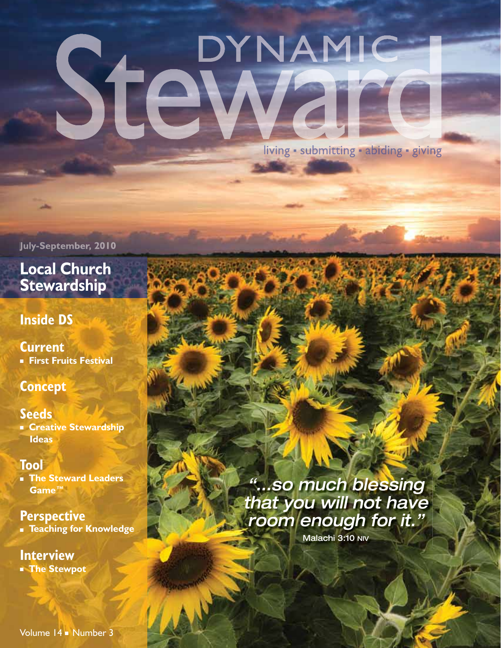# DYNAMIC Stel

living · submitting · abiding · giving

**July-September, 2010**

#### **Local Church Stewardship**

#### **Inside DS**

#### **Current**

■ **First Fruits Festival**

#### **Concept**

#### **Seeds**

■ **Creative Stewardship Ideas**

#### **Tool**

■ **The Steward Leaders Game™**

#### **Perspective**

■ **Teaching for Knowledge**

#### **Interview**

■ **The Stewpot**

Volume 14 ■ Number 3

*"…so much blessing that you will not have room enough for it."*

Malachi 3:10 NIV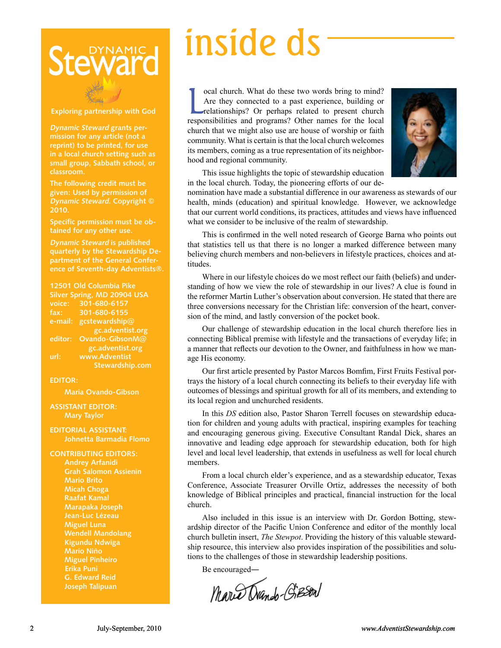### **DYNAMIC Stev**

#### **Exploring partnership with God**

**Dynamic Steward grants permission for any article (not a reprint) to be printed, for use in a local church setting such as small group, Sabbath school, or classroom.** 

**The following credit must be given: Used by permission of Dynamic Steward. Copyright © 2010.** 

**Specific permission must be obtained for any other use.** 

**Dynamic Steward is published quarterly by the Stewardship Department of the General Conference of Seventh-day Adventists®.**

**12501 Old Columbia Pike Silver Spring, MD 20904 USA voice: 301-680-6157 fax: 301-680-6155 e-mail: gcstewardship@ gc.adventist.org editor: Ovando-GibsonM@ gc.adventist.org url: www.Adventist Stewardship.com**

#### **EDITOR:**

**Maria Ovando-Gibson**

**ASSISTANT EDITOR: Mary Taylor**

**EDITORIAL ASSISTANT: Johnetta Barmadia Flomo**

**CONTRIBUTING EDITORS: Mario Brito Micah Choga Raafat Kamal Marapaka Joseph Jean-Luc Lézeau Miguel Luna Wendell Mandolang Kigundu Ndwiga Mario Niño Miguel Pinheiro Erika Puni G. Edward Reid Joseph Talipuan**

## inside ds

cal church. What do these two words bring to mind?<br>Are they connected to a past experience, building or<br>relationships? Or perhaps related to present church<br>responsibilities and programs? Other names for the local ocal church. What do these two words bring to mind? Are they connected to a past experience, building or relationships? Or perhaps related to present church church that we might also use are house of worship or faith community. What is certain is that the local church welcomes its members, coming as a true representation of its neighborhood and regional community.



This issue highlights the topic of stewardship education in the local church. Today, the pioneering efforts of our de-

nomination have made a substantial difference in our awareness as stewards of our health, minds (education) and spiritual knowledge. However, we acknowledge that our current world conditions, its practices, attitudes and views have influenced what we consider to be inclusive of the realm of stewardship.

This is confirmed in the well noted research of George Barna who points out that statistics tell us that there is no longer a marked difference between many believing church members and non-believers in lifestyle practices, choices and attitudes.

Where in our lifestyle choices do we most reflect our faith (beliefs) and understanding of how we view the role of stewardship in our lives? A clue is found in the reformer Martin Luther's observation about conversion. He stated that there are three conversions necessary for the Christian life: conversion of the heart, conversion of the mind, and lastly conversion of the pocket book.

Our challenge of stewardship education in the local church therefore lies in connecting Biblical premise with lifestyle and the transactions of everyday life; in a manner that reflects our devotion to the Owner, and faithfulness in how we manage His economy.

Our first article presented by Pastor Marcos Bomfim, First Fruits Festival portrays the history of a local church connecting its beliefs to their everyday life with outcomes of blessings and spiritual growth for all of its members, and extending to its local region and unchurched residents.

In this *DS* edition also, Pastor Sharon Terrell focuses on stewardship education for children and young adults with practical, inspiring examples for teaching and encouraging generous giving. Executive Consultant Randal Dick, shares an innovative and leading edge approach for stewardship education, both for high level and local level leadership, that extends in usefulness as well for local church members.

From a local church elder's experience, and as a stewardship educator, Texas Conference, Associate Treasurer Orville Ortiz, addresses the necessity of both knowledge of Biblical principles and practical, financial instruction for the local church.

Also included in this issue is an interview with Dr. Gordon Botting, stewardship director of the Pacific Union Conference and editor of the monthly local church bulletin insert, *The Stewpot*. Providing the history of this valuable stewardship resource, this interview also provides inspiration of the possibilities and solutions to the challenges of those in stewardship leadership positions.

Be encouraged―

Mario Dando-Gieson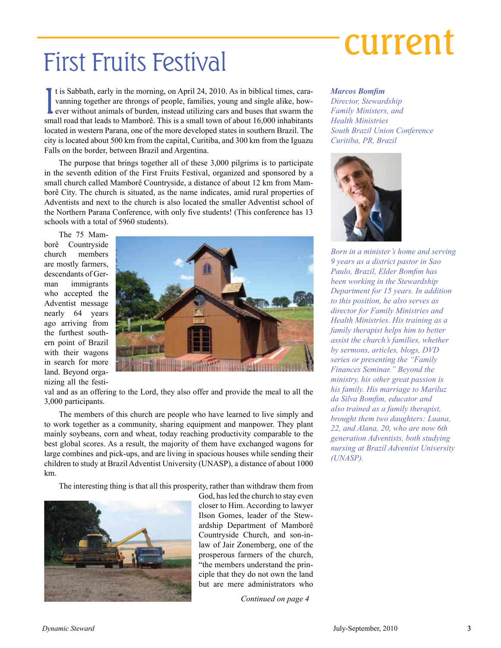## First Fruits Festival **Current**

It is Sabbath, early in the morning, on April 24, 2010. As in biblical times, cara-<br>vanning together are throngs of people, families, young and single alike, how-<br>ever without animals of burden, instead utilizing cars and t is Sabbath, early in the morning, on April 24, 2010. As in biblical times, caravanning together are throngs of people, families, young and single alike, however without animals of burden, instead utilizing cars and buses that swarm the located in western Parana, one of the more developed states in southern Brazil. The city is located about 500 km from the capital, Curitiba, and 300 km from the Iguazu Falls on the border, between Brazil and Argentina.

The purpose that brings together all of these 3,000 pilgrims is to participate in the seventh edition of the First Fruits Festival, organized and sponsored by a small church called Mamborê Countryside, a distance of about 12 km from Mamborê City. The church is situated, as the name indicates, amid rural properties of Adventists and next to the church is also located the smaller Adventist school of the Northern Parana Conference, with only five students! (This conference has 13 schools with a total of 5960 students).

The 75 Mamborê Countryside church members are mostly farmers, descendants of German immigrants who accepted the Adventist message nearly 64 years ago arriving from the furthest southern point of Brazil with their wagons in search for more land. Beyond organizing all the festi-



val and as an offering to the Lord, they also offer and provide the meal to all the 3,000 participants.

The members of this church are people who have learned to live simply and to work together as a community, sharing equipment and manpower. They plant mainly soybeans, corn and wheat, today reaching productivity comparable to the best global scores. As a result, the majority of them have exchanged wagons for large combines and pick-ups, and are living in spacious houses while sending their children to study at Brazil Adventist University (UNASP), a distance of about 1000 km.

The interesting thing is that all this prosperity, rather than withdraw them from



God, has led the church to stay even closer to Him. According to lawyer Ilson Gomes, leader of the Stewardship Department of Mamborê Countryside Church, and son-inlaw of Jair Zonemberg, one of the prosperous farmers of the church, "the members understand the principle that they do not own the land but are mere administrators who

*Continued on page 4*

#### *Marcos Bomfim*

*Director, Stewardship Family Ministers, and Health Ministries South Brazil Union Conference Curitiba, PR, Brazil*



*Born in a minister's home and serving 9 years as a district pastor in Sao Paulo, Brazil, Elder Bomfim has been working in the Stewardship Department for 15 years. In addition to this position, he also serves as director for Family Ministries and Health Ministries. His training as a family therapist helps him to better assist the church's families, whether by sermons, articles, blogs, DVD series or presenting the "Family Finances Seminar." Beyond the ministry, his other great passion is his family. His marriage to Mariluz da Silva Bomfim, educator and also trained as a family therapist, brought them two daughters: Luana, 22, and Alana, 20, who are now 6th generation Adventists, both studying nursing at Brazil Adventist University (UNASP).*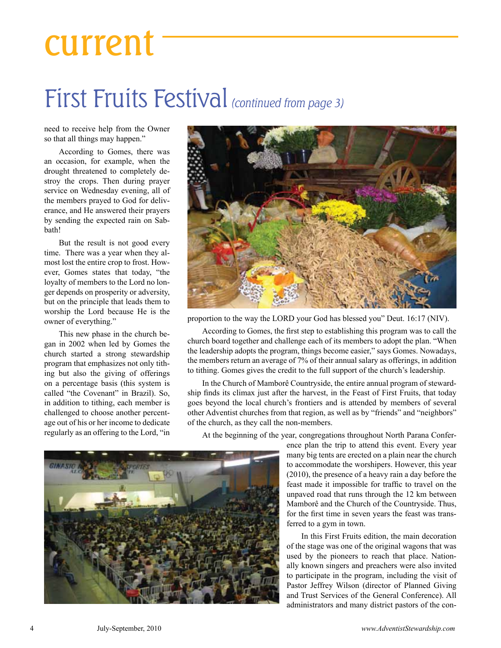### current

### First Fruits Festival (continued from page 3)

need to receive help from the Owner so that all things may happen."

According to Gomes, there was an occasion, for example, when the drought threatened to completely destroy the crops. Then during prayer service on Wednesday evening, all of the members prayed to God for deliverance, and He answered their prayers by sending the expected rain on Sabbath!

But the result is not good every time. There was a year when they almost lost the entire crop to frost. However, Gomes states that today, "the loyalty of members to the Lord no longer depends on prosperity or adversity, but on the principle that leads them to worship the Lord because He is the owner of everything."

This new phase in the church began in 2002 when led by Gomes the church started a strong stewardship program that emphasizes not only tithing but also the giving of offerings on a percentage basis (this system is called "the Covenant" in Brazil). So, in addition to tithing, each member is challenged to choose another percentage out of his or her income to dedicate regularly as an offering to the Lord, "in



proportion to the way the LORD your God has blessed you" Deut. 16:17 (NIV).

According to Gomes, the first step to establishing this program was to call the church board together and challenge each of its members to adopt the plan. "When the leadership adopts the program, things become easier," says Gomes. Nowadays, the members return an average of 7% of their annual salary as offerings, in addition to tithing. Gomes gives the credit to the full support of the church's leadership.

In the Church of Mamborê Countryside, the entire annual program of stewardship finds its climax just after the harvest, in the Feast of First Fruits, that today goes beyond the local church's frontiers and is attended by members of several other Adventist churches from that region, as well as by "friends" and "neighbors" of the church, as they call the non-members.

At the beginning of the year, congregations throughout North Parana Confer-

ence plan the trip to attend this event. Every year many big tents are erected on a plain near the church to accommodate the worshipers. However, this year (2010), the presence of a heavy rain a day before the feast made it impossible for traffic to travel on the unpaved road that runs through the 12 km between Mamborê and the Church of the Countryside. Thus, for the first time in seven years the feast was transferred to a gym in town.

In this First Fruits edition, the main decoration of the stage was one of the original wagons that was used by the pioneers to reach that place. Nationally known singers and preachers were also invited to participate in the program, including the visit of Pastor Jeffrey Wilson (director of Planned Giving and Trust Services of the General Conference). All administrators and many district pastors of the con-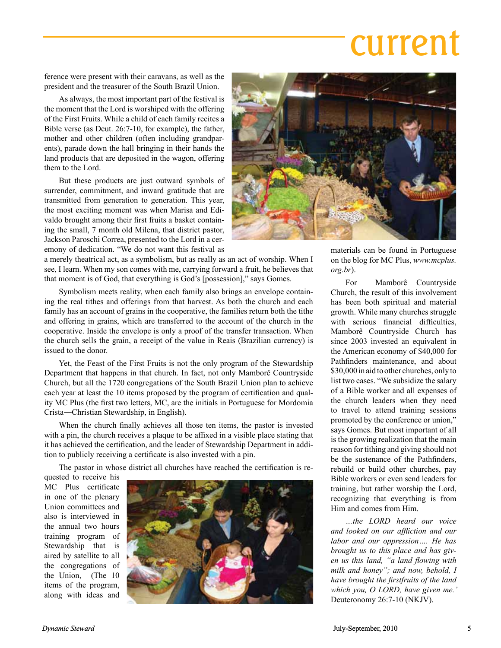## current

ference were present with their caravans, as well as the president and the treasurer of the South Brazil Union.

As always, the most important part of the festival is the moment that the Lord is worshiped with the offering of the First Fruits. While a child of each family recites a Bible verse (as Deut. 26:7-10, for example), the father, mother and other children (often including grandparents), parade down the hall bringing in their hands the land products that are deposited in the wagon, offering them to the Lord.

But these products are just outward symbols of surrender, commitment, and inward gratitude that are transmitted from generation to generation. This year, the most exciting moment was when Marisa and Edivaldo brought among their first fruits a basket containing the small, 7 month old Milena, that district pastor, Jackson Paroschi Correa, presented to the Lord in a ceremony of dedication. "We do not want this festival as

a merely theatrical act, as a symbolism, but as really as an act of worship. When I see, I learn. When my son comes with me, carrying forward a fruit, he believes that that moment is of God, that everything is God's [possession]," says Gomes.

Symbolism meets reality, when each family also brings an envelope containing the real tithes and offerings from that harvest. As both the church and each family has an account of grains in the cooperative, the families return both the tithe and offering in grains, which are transferred to the account of the church in the cooperative. Inside the envelope is only a proof of the transfer transaction. When the church sells the grain, a receipt of the value in Reais (Brazilian currency) is issued to the donor.

Yet, the Feast of the First Fruits is not the only program of the Stewardship Department that happens in that church. In fact, not only Mamborê Countryside Church, but all the 1720 congregations of the South Brazil Union plan to achieve each year at least the 10 items proposed by the program of certification and quality MC Plus (the first two letters, MC, are the initials in Portuguese for Mordomia Crista―Christian Stewardship, in English).

When the church finally achieves all those ten items, the pastor is invested with a pin, the church receives a plaque to be affixed in a visible place stating that it has achieved the certification, and the leader of Stewardship Department in addition to publicly receiving a certificate is also invested with a pin.

The pastor in whose district all churches have reached the certification is re-

quested to receive his MC Plus certificate in one of the plenary Union committees and also is interviewed in the annual two hours training program of Stewardship that is aired by satellite to all the congregations of the Union, (The 10 items of the program, along with ideas and





materials can be found in Portuguese on the blog for MC Plus, *www.mcplus. org.br*).

For Mamborê Countryside Church, the result of this involvement has been both spiritual and material growth. While many churches struggle with serious financial difficulties. Mamborê Countryside Church has since 2003 invested an equivalent in the American economy of \$40,000 for Path finders maintenance, and about \$30,000 in aid to other churches, only to list two cases. "We subsidize the salary of a Bible worker and all expenses of the church leaders when they need to travel to attend training sessions promoted by the conference or union," says Gomes. But most important of all is the growing realization that the main reason for tithing and giving should not be the sustenance of the Pathfinders, rebuild or build other churches, pay Bible workers or even send leaders for training, but rather worship the Lord, recognizing that everything is from Him and comes from Him.

*…the LORD heard our voice and looked on our affl iction and our labor and our oppression…. He has brought us to this place and has given us this land, "a land flowing with milk and honey"; and now, behold, I have brought the firstfruits of the land which you, O LORD, have given me.'*  Deuteronomy 26:7-10 (NKJV).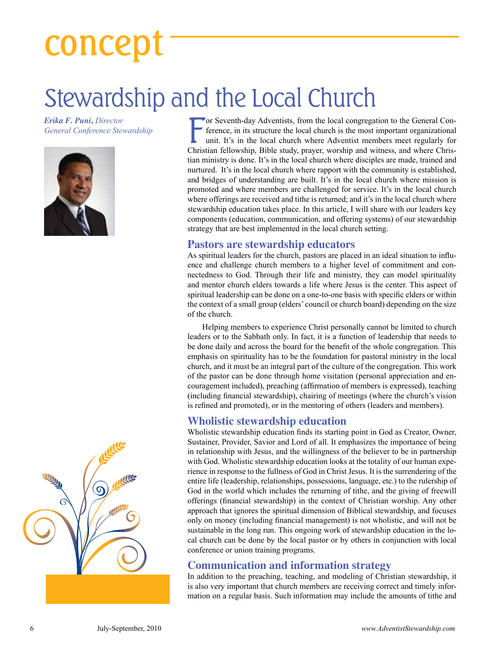## concept

### Stewardship and the Local Church

*Erika F. Puni***,** *Director General Conference Stewardship*





For Seventh-day Adventists, from the local congregation to the General Conference, in its structure the local church is the most important organizational unit. It's in the local church where Adventist members meet regularl or Seventh-day Adventists, from the local congregation to the General Conference, in its structure the local church is the most important organizational unit. It's in the local church where Adventist members meet regularly for tian ministry is done. It's in the local church where disciples are made, trained and nurtured. It's in the local church where rapport with the community is established, and bridges of understanding are built. It's in the local church where mission is promoted and where members are challenged for service. It's in the local church where offerings are received and tithe is returned; and it's in the local church where stewardship education takes place. In this article, I will share with our leaders key components (education, communication, and offering systems) of our stewardship strategy that are best implemented in the local church setting.

#### **Pastors are stewardship educators**

As spiritual leaders for the church, pastors are placed in an ideal situation to influence and challenge church members to a higher level of commitment and connectedness to God. Through their life and ministry, they can model spirituality and mentor church elders towards a life where Jesus is the center. This aspect of spiritual leadership can be done on a one-to-one basis with specific elders or within the context of a small group (elders' council or church board) depending on the size of the church.

Helping members to experience Christ personally cannot be limited to church leaders or to the Sabbath only. In fact, it is a function of leadership that needs to be done daily and across the board for the benefit of the whole congregation. This emphasis on spirituality has to be the foundation for pastoral ministry in the local church, and it must be an integral part of the culture of the congregation. This work of the pastor can be done through home visitation (personal appreciation and encouragement included), preaching (affirmation of members is expressed), teaching (including financial stewardship), chairing of meetings (where the church's vision is refined and promoted), or in the mentoring of others (leaders and members).

#### **Wholistic stewardship education**

Wholistic stewardship education finds its starting point in God as Creator, Owner, Sustainer, Provider, Savior and Lord of all. It emphasizes the importance of being in relationship with Jesus, and the willingness of the believer to be in partnership with God. Wholistic stewardship education looks at the totality of our human experience in response to the fullness of God in Christ Jesus. It is the surrendering of the entire life (leadership, relationships, possessions, language, etc.) to the rulership of God in the world which includes the returning of tithe, and the giving of freewill offerings (financial stewardship) in the context of Christian worship. Any other approach that ignores the spiritual dimension of Biblical stewardship, and focuses only on money (including financial management) is not wholistic, and will not be sustainable in the long run. This ongoing work of stewardship education in the local church can be done by the local pastor or by others in conjunction with local conference or union training programs.

#### **Communication and information strategy**

In addition to the preaching, teaching, and modeling of Christian stewardship, it is also very important that church members are receiving correct and timely information on a regular basis. Such information may include the amounts of tithe and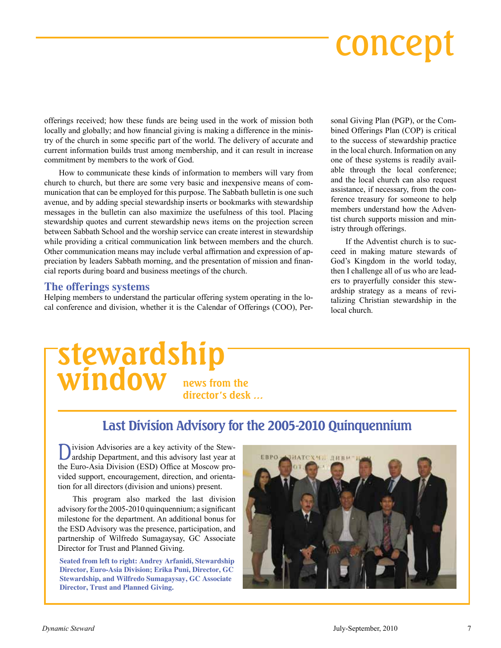## concept

offerings received; how these funds are being used in the work of mission both locally and globally; and how financial giving is making a difference in the ministry of the church in some specific part of the world. The delivery of accurate and current information builds trust among membership, and it can result in increase commitment by members to the work of God.

How to communicate these kinds of information to members will vary from church to church, but there are some very basic and inexpensive means of communication that can be employed for this purpose. The Sabbath bulletin is one such avenue, and by adding special stewardship inserts or bookmarks with stewardship messages in the bulletin can also maximize the usefulness of this tool. Placing stewardship quotes and current stewardship news items on the projection screen between Sabbath School and the worship service can create interest in stewardship while providing a critical communication link between members and the church. Other communication means may include verbal affirmation and expression of appreciation by leaders Sabbath morning, and the presentation of mission and financial reports during board and business meetings of the church.

#### **The offerings systems**

Helping members to understand the particular offering system operating in the local conference and division, whether it is the Calendar of Offerings (COO), Personal Giving Plan (PGP), or the Combined Offerings Plan (COP) is critical to the success of stewardship practice in the local church. Information on any one of these systems is readily available through the local conference; and the local church can also request assistance, if necessary, from the conference treasury for someone to help members understand how the Adventist church supports mission and ministry through offerings.

If the Adventist church is to succeed in making mature stewards of God's Kingdom in the world today, then I challenge all of us who are leaders to prayerfully consider this stewardship strategy as a means of revitalizing Christian stewardship in the local church.

### **stewardship window news from the director's desk …**

#### **Last Division Advisory for the 2005-2010 Quinquennium**

Division Advisories are a key activity of the Stew-ardship Department, and this advisory last year at the Euro-Asia Division (ESD) Office at Moscow provided support, encouragement, direction, and orientation for all directors (division and unions) present.

This program also marked the last division advisory for the 2005-2010 quinquennium; a significant milestone for the department. An additional bonus for the ESD Advisory was the presence, participation, and partnership of Wilfredo Sumagaysay, GC Associate Director for Trust and Planned Giving.

**Seated from left to right: Andrey Arfanidi, Stewardship Director, Euro-Asia Division; Erika Puni, Director, GC Stewardship, and Wilfredo Sumagaysay, GC Associate Director, Trust and Planned Giving.**

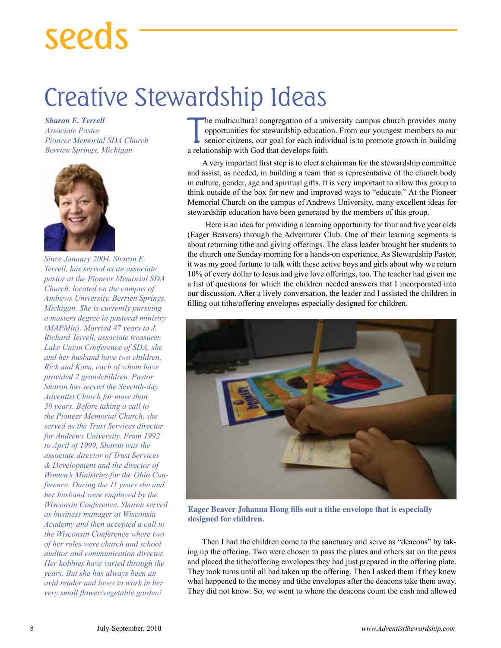## seeds

### Creative Stewardship Ideas

*Sharon E. Terrell Associate Pastor Pioneer Memorial SDA Church Berrien Springs, Michigan*



*Since January 2004, Sharon E. Terrell, has served as an associate pastor at the Pioneer Memorial SDA Church, located on the campus of Andrews University, Berrien Springs, Michigan. She is currently pursuing a masters degree in pastoral ministry (MAPMin). Married 47 years to J. Richard Terrell, associate treasurer, Lake Union Conference of SDA, she and her husband have two children, Rick and Kara, each of whom have provided 2 grandchildren. Pastor Sharon has served the Seventh-day Adventist Church for more than 30 years. Before taking a call to the Pioneer Memorial Church, she served as the Trust Services director for Andrews University. From 1992 to April of 1999, Sharon was the associate director of Trust Services & Development and the director of Women's Ministries for the Ohio Conference. During the 11 years she and her husband were employed by the Wisconsin Conference, Sharon served as business manager at Wisconsin Academy and then accepted a call to the Wisconsin Conference where two of her roles were church and school auditor and communication director. Her hobbies have varied through the years. But she has always been an avid reader and loves to work in her very small flower/vegetable garden!*

The multicultural congregation of a unopportunities for stewardship educations in the senior citizens, our goal for each individual relationship with God that develops faith. he multicultural congregation of a university campus church provides many opportunities for stewardship education. From our youngest members to our senior citizens, our goal for each individual is to promote growth in building

A very important first step is to elect a chairman for the stewardship committee and assist, as needed, in building a team that is representative of the church body in culture, gender, age and spiritual gifts. It is very important to allow this group to think outside of the box for new and improved ways to "educate." At the Pioneer Memorial Church on the campus of Andrews University, many excellent ideas for stewardship education have been generated by the members of this group.

 Here is an idea for providing a learning opportunity for four and five year olds (Eager Beavers) through the Adventurer Club. One of their learning segments is about returning tithe and giving offerings. The class leader brought her students to the church one Sunday morning for a hands-on experience. As Stewardship Pastor, it was my good fortune to talk with these active boys and girls about why we return 10% of every dollar to Jesus and give love offerings, too. The teacher had given me a list of questions for which the children needed answers that I incorporated into our discussion. After a lively conversation, the leader and I assisted the children in filling out tithe/offering envelopes especially designed for children.



**Eager Beaver Johanna Hong fills out a tithe envelope that is especially designed for children.**

Then I had the children come to the sanctuary and serve as "deacons" by taking up the offering. Two were chosen to pass the plates and others sat on the pews and placed the tithe/offering envelopes they had just prepared in the offering plate. They took turns until all had taken up the offering. Then I asked them if they knew what happened to the money and tithe envelopes after the deacons take them away. They did not know. So, we went to where the deacons count the cash and allowed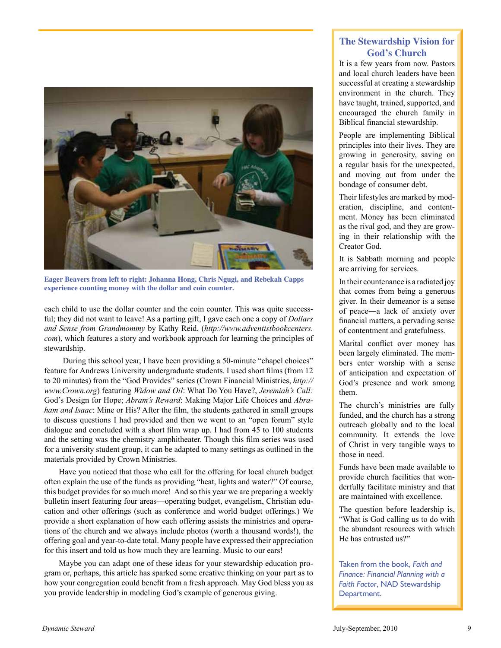

**Eager Beavers from left to right: Johanna Hong, Chris Ngugi, and Rebekah Capps experience counting money with the dollar and coin counter.**

each child to use the dollar counter and the coin counter. This was quite successful; they did not want to leave! As a parting gift, I gave each one a copy of *Dollars and Sense from Grandmommy* by Kathy Reid, (*http://www.adventistbookcenters. com*), which features a story and workbook approach for learning the principles of stewardship.

 During this school year, I have been providing a 50-minute "chapel choices" feature for Andrews University undergraduate students. I used short films (from 12 to 20 minutes) from the "God Provides" series (Crown Financial Ministries, *http:// www.Crown.org*) featuring *Widow and Oil*: What Do You Have?, *Jeremiah's Call:* God's Design for Hope; *Abram's Reward*: Making Major Life Choices and *Abraham and Isaac*: Mine or His? After the film, the students gathered in small groups to discuss questions I had provided and then we went to an "open forum" style dialogue and concluded with a short film wrap up. I had from 45 to 100 students and the setting was the chemistry amphitheater. Though this film series was used for a university student group, it can be adapted to many settings as outlined in the materials provided by Crown Ministries.

Have you noticed that those who call for the offering for local church budget often explain the use of the funds as providing "heat, lights and water?" Of course, this budget provides for so much more! And so this year we are preparing a weekly bulletin insert featuring four areas—operating budget, evangelism, Christian education and other offerings (such as conference and world budget offerings.) We provide a short explanation of how each offering assists the ministries and operations of the church and we always include photos (worth a thousand words!), the offering goal and year-to-date total. Many people have expressed their appreciation for this insert and told us how much they are learning. Music to our ears!

Maybe you can adapt one of these ideas for your stewardship education program or, perhaps, this article has sparked some creative thinking on your part as to how your congregation could benefit from a fresh approach. May God bless you as you provide leadership in modeling God's example of generous giving.

#### **The Stewardship Vision for God's Church**

It is a few years from now. Pastors and local church leaders have been successful at creating a stewardship environment in the church. They have taught, trained, supported, and encouraged the church family in Biblical financial stewardship.

People are implementing Biblical principles into their lives. They are growing in generosity, saving on a regular basis for the unexpected, and moving out from under the bondage of consumer debt.

Their lifestyles are marked by moderation, discipline, and contentment. Money has been eliminated as the rival god, and they are growing in their relationship with the Creator God.

It is Sabbath morning and people are arriving for services.

In their countenance is a radiated joy that comes from being a generous giver. In their demeanor is a sense of peace―a lack of anxiety over financial matters, a pervading sense of contentment and gratefulness.

Marital conflict over money has been largely eliminated. The members enter worship with a sense of anticipation and expectation of God's presence and work among them.

The church's ministries are fully funded, and the church has a strong outreach globally and to the local community. It extends the love of Christ in very tangible ways to those in need.

Funds have been made available to provide church facilities that wonderfully facilitate ministry and that are maintained with excellence.

The question before leadership is, "What is God calling us to do with the abundant resources with which He has entrusted us?"

Taken from the book, *Faith and Finance: Financial Planning with a Faith Factor*, NAD Stewardship Department.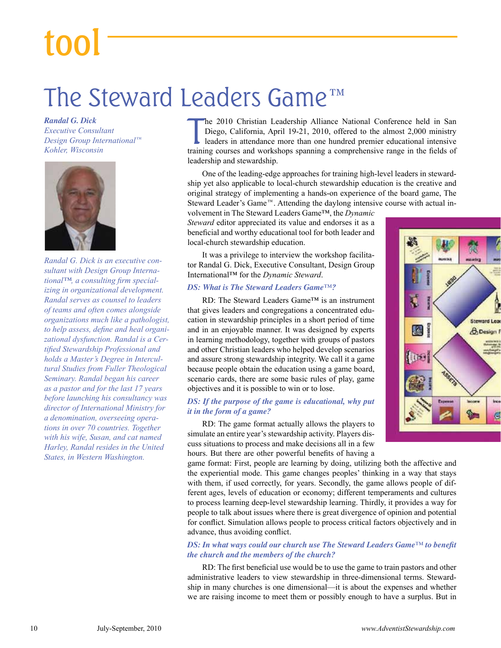## tool

### The Steward Leaders Game™

*Randal G. Dick Executive Consultant Design Group International*™ *Kohler, Wisconsin*



*Randal G. Dick is an executive consultant with Design Group International™, a consulting firm specializing in organizational development. Randal serves as counsel to leaders of teams and often comes alongside organizations much like a pathologist, to help assess, define and heal organizational dysfunction. Randal is a Certified Stewardship Professional and holds a Master's Degree in Intercultural Studies from Fuller Theological Seminary. Randal began his career as a pastor and for the last 17 years before launching his consultancy was director of International Ministry for a denomination, overseeing operations in over 70 countries. Together with his wife, Susan, and cat named Harley, Randal resides in the United States, in Western Washington.*

 $\prod_{\text{train}}$ he 2010 Christian Leadership Alliance National Conference held in San Diego, California, April 19-21, 2010, offered to the almost 2,000 ministry leaders in attendance more than one hundred premier educational intensive training courses and workshops spanning a comprehensive range in the fields of leadership and stewardship.

One of the leading-edge approaches for training high-level leaders in stewardship yet also applicable to local-church stewardship education is the creative and original strategy of implementing a hands-on experience of the board game, The Steward Leader's Game™. Attending the daylong intensive course with actual involvement in The Steward Leaders Game™, the *Dynamic* 

*Steward* editor appreciated its value and endorses it as a beneficial and worthy educational tool for both leader and local-church stewardship education.

It was a privilege to interview the workshop facilitator Randal G. Dick, Executive Consultant, Design Group International™ for the *Dynamic Steward*.

#### *DS: What is The Steward Leaders Game™?*

RD: The Steward Leaders Game™ is an instrument that gives leaders and congregations a concentrated education in stewardship principles in a short period of time and in an enjoyable manner. It was designed by experts in learning methodology, together with groups of pastors and other Christian leaders who helped develop scenarios and assure strong stewardship integrity. We call it a game because people obtain the education using a game board, scenario cards, there are some basic rules of play, game objectives and it is possible to win or to lose.

#### *DS: If the purpose of the game is educational, why put it in the form of a game?*

RD: The game format actually allows the players to simulate an entire year's stewardship activity. Players discuss situations to process and make decisions all in a few hours. But there are other powerful benefits of having a

game format: First, people are learning by doing, utilizing both the affective and the experiential mode. This game changes peoples' thinking in a way that stays with them, if used correctly, for years. Secondly, the game allows people of different ages, levels of education or economy; different temperaments and cultures to process learning deep-level stewardship learning. Thirdly, it provides a way for people to talk about issues where there is great divergence of opinion and potential for conflict. Simulation allows people to process critical factors objectively and in advance, thus avoiding conflict.

#### *DS: In what ways could our church use The Steward Leaders Game™ to benefit the church and the members of the church?*

RD: The first beneficial use would be to use the game to train pastors and other administrative leaders to view stewardship in three-dimensional terms. Stewardship in many churches is one dimensional—it is about the expenses and whether we are raising income to meet them or possibly enough to have a surplus. But in

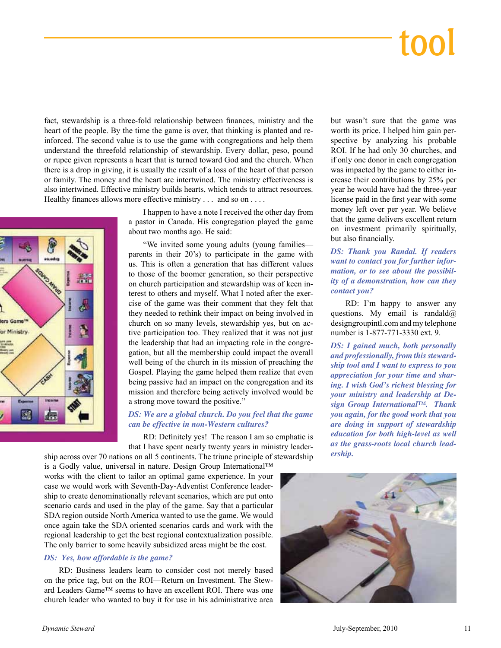## tool

fact, stewardship is a three-fold relationship between finances, ministry and the heart of the people. By the time the game is over, that thinking is planted and reinforced. The second value is to use the game with congregations and help them understand the threefold relationship of stewardship. Every dollar, peso, pound or rupee given represents a heart that is turned toward God and the church. When there is a drop in giving, it is usually the result of a loss of the heart of that person or family. The money and the heart are intertwined. The ministry effectiveness is also intertwined. Effective ministry builds hearts, which tends to attract resources. Healthy finances allows more effective ministry . . . and so on . . . .

> I happen to have a note I received the other day from a pastor in Canada. His congregation played the game about two months ago. He said:



"We invited some young adults (young families parents in their 20's) to participate in the game with us. This is often a generation that has different values to those of the boomer generation, so their perspective on church participation and stewardship was of keen interest to others and myself. What I noted after the exercise of the game was their comment that they felt that they needed to rethink their impact on being involved in church on so many levels, stewardship yes, but on active participation too. They realized that it was not just the leadership that had an impacting role in the congregation, but all the membership could impact the overall well being of the church in its mission of preaching the Gospel. Playing the game helped them realize that even being passive had an impact on the congregation and its mission and therefore being actively involved would be a strong move toward the positive."

#### *DS: We are a global church. Do you feel that the game can be effective in non-Western cultures?*

RD: Definitely yes! The reason I am so emphatic is that I have spent nearly twenty years in ministry leader-

ship across over 70 nations on all 5 continents. The triune principle of stewardship is a Godly value, universal in nature. Design Group International™ works with the client to tailor an optimal game experience. In your case we would work with Seventh-Day-Adventist Conference leadership to create denominationally relevant scenarios, which are put onto scenario cards and used in the play of the game. Say that a particular SDA region outside North America wanted to use the game. We would once again take the SDA oriented scenarios cards and work with the regional leadership to get the best regional contextualization possible. The only barrier to some heavily subsidized areas might be the cost.

#### *DS: Yes, how affordable is the game?*

RD: Business leaders learn to consider cost not merely based on the price tag, but on the ROI—Return on Investment. The Steward Leaders Game™ seems to have an excellent ROI. There was one church leader who wanted to buy it for use in his administrative area but wasn't sure that the game was worth its price. I helped him gain perspective by analyzing his probable ROI. If he had only 30 churches, and if only one donor in each congregation was impacted by the game to either increase their contributions by 25% per year he would have had the three-year license paid in the first year with some money left over per year. We believe that the game delivers excellent return on investment primarily spiritually, but also financially.

*DS: Thank you Randal. If readers want to contact you for further information, or to see about the possibility of a demonstration, how can they contact you?*

RD: I'm happy to answer any questions. My email is randald $\omega$ designgroupintl.com and my telephone number is 1-877-771-3330 ext. 9.

*DS: I gained much, both personally and professionally, from this stewardship tool and I want to express to you appreciation for your time and sharing. I wish God's richest blessing for your ministry and leadership at Design Group International™. Thank you again, for the good work that you are doing in support of stewardship education for both high-level as well as the grass-roots local church leadership.*

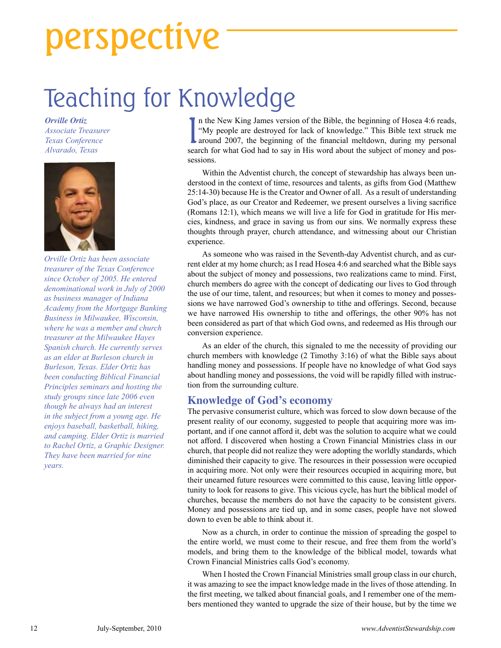## perspective

### Teaching for Knowledge

*Orville Ortiz Associate Treasurer Texas Conference Alvarado, Texas*



*Orville Ortiz has been associate treasurer of the Texas Conference since October of 2005. He entered denominational work in July of 2000 as business manager of Indiana Academy from the Mortgage Banking Business in Milwaukee, Wisconsin, where he was a member and church treasurer at the Milwaukee Hayes Spanish church. He currently serves as an elder at Burleson church in Burleson, Texas. Elder Ortiz has been conducting Biblical Financial Principles seminars and hosting the study groups since late 2006 even though he always had an interest in the subject from a young age. He enjoys baseball, basketball, hiking, and camping. Elder Ortiz is married to Rachel Ortiz, a Graphic Designer. They have been married for nine years.*

In the New King James version of the Bible, the beginning of Hosea 4:6 reads, "My people are destroyed for lack of knowledge." This Bible text struck me<br>around 2007, the beginning of the financial meltdown, during my perso n the New King James version of the Bible, the beginning of Hosea 4:6 reads, "My people are destroyed for lack of knowledge." This Bible text struck me search for what God had to say in His word about the subject of money and possessions.

Within the Adventist church, the concept of stewardship has always been understood in the context of time, resources and talents, as gifts from God (Matthew 25:14-30) because He is the Creator and Owner of all. As a result of understanding God's place, as our Creator and Redeemer, we present ourselves a living sacrifice (Romans 12:1), which means we will live a life for God in gratitude for His mercies, kindness, and grace in saving us from our sins. We normally express these thoughts through prayer, church attendance, and witnessing about our Christian experience.

As someone who was raised in the Seventh-day Adventist church, and as current elder at my home church; as I read Hosea 4:6 and searched what the Bible says about the subject of money and possessions, two realizations came to mind. First, church members do agree with the concept of dedicating our lives to God through the use of our time, talent, and resources; but when it comes to money and possessions we have narrowed God's ownership to tithe and offerings. Second, because we have narrowed His ownership to tithe and offerings, the other 90% has not been considered as part of that which God owns, and redeemed as His through our conversion experience.

As an elder of the church, this signaled to me the necessity of providing our church members with knowledge (2 Timothy 3:16) of what the Bible says about handling money and possessions. If people have no knowledge of what God says about handling money and possessions, the void will be rapidly filled with instruction from the surrounding culture.

#### **Knowledge of God's economy**

The pervasive consumerist culture, which was forced to slow down because of the present reality of our economy, suggested to people that acquiring more was important, and if one cannot afford it, debt was the solution to acquire what we could not afford. I discovered when hosting a Crown Financial Ministries class in our church, that people did not realize they were adopting the worldly standards, which diminished their capacity to give. The resources in their possession were occupied in acquiring more. Not only were their resources occupied in acquiring more, but their unearned future resources were committed to this cause, leaving little opportunity to look for reasons to give. This vicious cycle, has hurt the biblical model of churches, because the members do not have the capacity to be consistent givers. Money and possessions are tied up, and in some cases, people have not slowed down to even be able to think about it.

Now as a church, in order to continue the mission of spreading the gospel to the entire world, we must come to their rescue, and free them from the world's models, and bring them to the knowledge of the biblical model, towards what Crown Financial Ministries calls God's economy.

When I hosted the Crown Financial Ministries small group class in our church, it was amazing to see the impact knowledge made in the lives of those attending. In the first meeting, we talked about financial goals, and I remember one of the members mentioned they wanted to upgrade the size of their house, but by the time we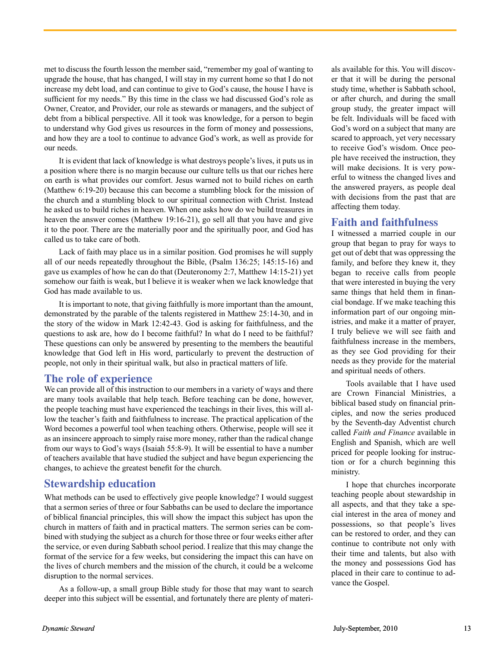met to discuss the fourth lesson the member said, "remember my goal of wanting to upgrade the house, that has changed, I will stay in my current home so that I do not increase my debt load, and can continue to give to God's cause, the house I have is sufficient for my needs." By this time in the class we had discussed God's role as Owner, Creator, and Provider, our role as stewards or managers, and the subject of debt from a biblical perspective. All it took was knowledge, for a person to begin to understand why God gives us resources in the form of money and possessions, and how they are a tool to continue to advance God's work, as well as provide for our needs.

It is evident that lack of knowledge is what destroys people's lives, it puts us in a position where there is no margin because our culture tells us that our riches here on earth is what provides our comfort. Jesus warned not to build riches on earth (Matthew 6:19-20) because this can become a stumbling block for the mission of the church and a stumbling block to our spiritual connection with Christ. Instead he asked us to build riches in heaven. When one asks how do we build treasures in heaven the answer comes (Matthew 19:16-21), go sell all that you have and give it to the poor. There are the materially poor and the spiritually poor, and God has called us to take care of both.

Lack of faith may place us in a similar position. God promises he will supply all of our needs repeatedly throughout the Bible, (Psalm 136:25; 145:15-16) and gave us examples of how he can do that (Deuteronomy 2:7, Matthew 14:15-21) yet somehow our faith is weak, but I believe it is weaker when we lack knowledge that God has made available to us.

It is important to note, that giving faithfully is more important than the amount, demonstrated by the parable of the talents registered in Matthew 25:14-30, and in the story of the widow in Mark 12:42-43. God is asking for faithfulness, and the questions to ask are, how do I become faithful? In what do I need to be faithful? These questions can only be answered by presenting to the members the beautiful knowledge that God left in His word, particularly to prevent the destruction of people, not only in their spiritual walk, but also in practical matters of life.

#### **The role of experience**

We can provide all of this instruction to our members in a variety of ways and there are many tools available that help teach. Before teaching can be done, however, the people teaching must have experienced the teachings in their lives, this will allow the teacher's faith and faithfulness to increase. The practical application of the Word becomes a powerful tool when teaching others. Otherwise, people will see it as an insincere approach to simply raise more money, rather than the radical change from our ways to God's ways (Isaiah 55:8-9). It will be essential to have a number of teachers available that have studied the subject and have begun experiencing the changes, to achieve the greatest benefit for the church.

#### **Stewardship education**

What methods can be used to effectively give people knowledge? I would suggest that a sermon series of three or four Sabbaths can be used to declare the importance of biblical nancial principles, this will show the impact this subject has upon the church in matters of faith and in practical matters. The sermon series can be combined with studying the subject as a church for those three or four weeks either after the service, or even during Sabbath school period. I realize that this may change the format of the service for a few weeks, but considering the impact this can have on the lives of church members and the mission of the church, it could be a welcome disruption to the normal services.

As a follow-up, a small group Bible study for those that may want to search deeper into this subject will be essential, and fortunately there are plenty of materi-

als available for this. You will discover that it will be during the personal study time, whether is Sabbath school, or after church, and during the small group study, the greater impact will be felt. Individuals will be faced with God's word on a subject that many are scared to approach, yet very necessary to receive God's wisdom. Once people have received the instruction, they will make decisions. It is very powerful to witness the changed lives and the answered prayers, as people deal with decisions from the past that are affecting them today.

#### **Faith and faithfulness**

I witnessed a married couple in our group that began to pray for ways to get out of debt that was oppressing the family, and before they knew it, they began to receive calls from people that were interested in buying the very same things that held them in financial bondage. If we make teaching this information part of our ongoing ministries, and make it a matter of prayer, I truly believe we will see faith and faithfulness increase in the members, as they see God providing for their needs as they provide for the material and spiritual needs of others.

Tools available that I have used are Crown Financial Ministries, a biblical based study on financial principles, and now the series produced by the Seventh-day Adventist church called *Faith and Finance* available in English and Spanish, which are well priced for people looking for instruction or for a church beginning this ministry.

I hope that churches incorporate teaching people about stewardship in all aspects, and that they take a special interest in the area of money and possessions, so that people's lives can be restored to order, and they can continue to contribute not only with their time and talents, but also with the money and possessions God has placed in their care to continue to advance the Gospel.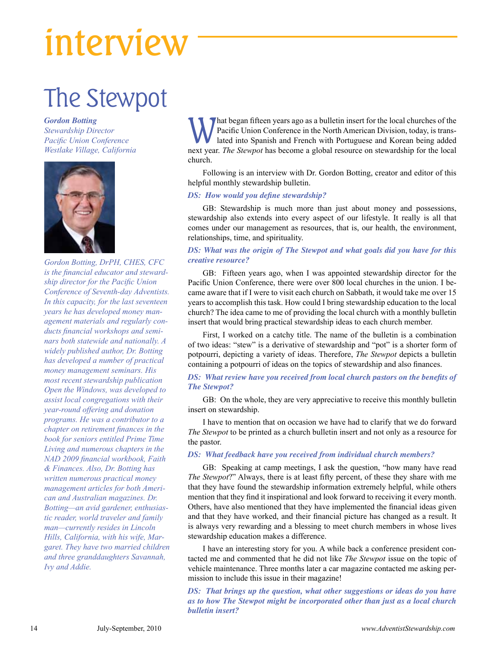## interview

### The Stewpot

*Gordon Botting*

*Stewardship Director Pacific Union Conference Westlake Village, California*



*Gordon Botting, DrPH, CHES, CFC is the financial educator and stewardship director for the Pacific Union Conference of Seventh-day Adventists. In this capacity, for the last seventeen years he has developed money management materials and regularly conducts financial workshops and seminars both statewide and nationally. A widely published author, Dr. Botting has developed a number of practical money management seminars. His most recent stewardship publication Open the Windows, was developed to assist local congregations with their year-round offering and donation programs. He was a contributor to a chapter on retirement finances in the book for seniors entitled Prime Time Living and numerous chapters in the NAD 2009 financial workbook, Faith & Finances. Also, Dr. Botting has written numerous practical money management articles for both American and Australian magazines. Dr. Botting—an avid gardener, enthusiastic reader, world traveler and family man—currently resides in Lincoln Hills, California, with his wife, Margaret. They have two married children and three granddaughters Savannah, Ivy and Addie.*

What began fifteen years ago as a bulletin insert for the local churches of the<br>Pacific Union Conference in the North American Division, today, is trans-<br>lated into Spanish and French with Portuguese and Korean being added Pacific Union Conference in the North American Division, today, is translated into Spanish and French with Portuguese and Korean being added next year. *The Stewpot* has become a global resource on stewardship for the local church.

Following is an interview with Dr. Gordon Botting, creator and editor of this helpful monthly stewardship bulletin.

#### *DS: How would you define stewardship?*

GB: Stewardship is much more than just about money and possessions, stewardship also extends into every aspect of our lifestyle. It really is all that comes under our management as resources, that is, our health, the environment, relationships, time, and spirituality.

#### *DS: What was the origin of The Stewpot and what goals did you have for this creative resource?*

GB: Fifteen years ago, when I was appointed stewardship director for the Pacific Union Conference, there were over 800 local churches in the union. I became aware that if I were to visit each church on Sabbath, it would take me over 15 years to accomplish this task. How could I bring stewardship education to the local church? The idea came to me of providing the local church with a monthly bulletin insert that would bring practical stewardship ideas to each church member.

First, I worked on a catchy title. The name of the bulletin is a combination of two ideas: "stew" is a derivative of stewardship and "pot" is a shorter form of potpourri, depicting a variety of ideas. Therefore, *The Stewpot* depicts a bulletin containing a potpourri of ideas on the topics of stewardship and also finances.

#### *DS: What review have you received from local church pastors on the benefits of The Stewpot?*

GB: On the whole, they are very appreciative to receive this monthly bulletin insert on stewardship.

I have to mention that on occasion we have had to clarify that we do forward *The Stewpot* to be printed as a church bulletin insert and not only as a resource for the pastor.

#### *DS: What feedback have you received from individual church members?*

GB: Speaking at camp meetings, I ask the question, "how many have read *The Stewpot*?" Always, there is at least fifty percent, of these they share with me that they have found the stewardship information extremely helpful, while others mention that they find it inspirational and look forward to receiving it every month. Others, have also mentioned that they have implemented the financial ideas given and that they have worked, and their financial picture has changed as a result. It is always very rewarding and a blessing to meet church members in whose lives stewardship education makes a difference.

I have an interesting story for you. A while back a conference president contacted me and commented that he did not like *The Stewpot* issue on the topic of vehicle maintenance. Three months later a car magazine contacted me asking permission to include this issue in their magazine!

*DS: That brings up the question, what other suggestions or ideas do you have as to how The Stewpot might be incorporated other than just as a local church bulletin insert?*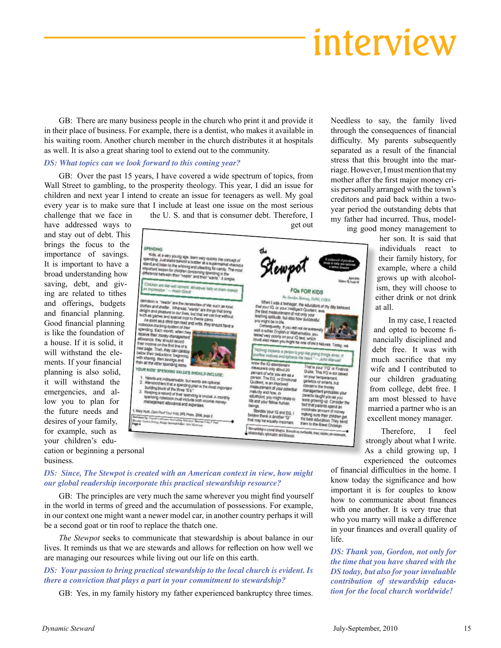### interview

GB: There are many business people in the church who print it and provide it in their place of business. For example, there is a dentist, who makes it available in his waiting room. Another church member in the church distributes it at hospitals as well. It is also a great sharing tool to extend out to the community.

#### *DS: What topics can we look forward to this coming year?*

GB: Over the past 15 years, I have covered a wide spectrum of topics, from Wall Street to gambling, to the prosperity theology. This year, I did an issue for children and next year I intend to create an issue for teenagers as well. My goal every year is to make sure that I include at least one issue on the most serious

challenge that we face in the U. S. and that is consumer debt. Therefore, I have addressed ways to get out and stay out of debt. This brings the focus to the importance of savings. It is important to have a broad understanding how saving, debt, and giving are related to tithes and offerings, budgets and financial planning. Good financial planning is like the foundation of a house. If it is solid, it will withstand the elements. If your financial planning is also solid, it will withstand the emergencies, and allow you to plan for the future needs and desires of your family, for example, such as your children's education or beginning a personal



*DS: Since, The Stewpot is created with an American context in view, how might our global readership incorporate this practical stewardship resource?*

GB: The principles are very much the same wherever you might find yourself in the world in terms of greed and the accumulation of possessions. For example, in our context one might want a newer model car, in another country perhaps it will be a second goat or tin roof to replace the thatch one.

*The Stewpot* seeks to communicate that stewardship is about balance in our lives. It reminds us that we are stewards and allows for reflection on how well we are managing our resources while living out our life on this earth.

#### *DS: Your passion to bring practical stewardship to the local church is evident. Is there a conviction that plays a part in your commitment to stewardship?*

GB: Yes, in my family history my father experienced bankruptcy three times.

Needless to say, the family lived through the consequences of financial difficulty. My parents subsequently separated as a result of the financial stress that this brought into the marriage. However, I must mention that my mother after the first major money crisis personally arranged with the town's creditors and paid back within a twoyear period the outstanding debts that my father had incurred. Thus, modeling good money management to

> her son. It is said that individuals react to their family history, for example, where a child grows up with alcoholism, they will choose to either drink or not drink at all.

In my case, I reacted and opted to become financially disciplined and debt free. It was with much sacrifice that my wife and I contributed to our children graduating from college, debt free. I am most blessed to have married a partner who is an excellent money manager.

Therefore, I feel strongly about what I write. As a child growing up, I experienced the outcomes

of financial difficulties in the home. I know today the significance and how important it is for couples to know how to communicate about finances with one another. It is very true that who you marry will make a difference in your finances and overall quality of life.

*DS: Thank you, Gordon, not only for the time that you have shared with the DS today, but also for your invaluable contribution of stewardship education for the local church worldwide!*

business.